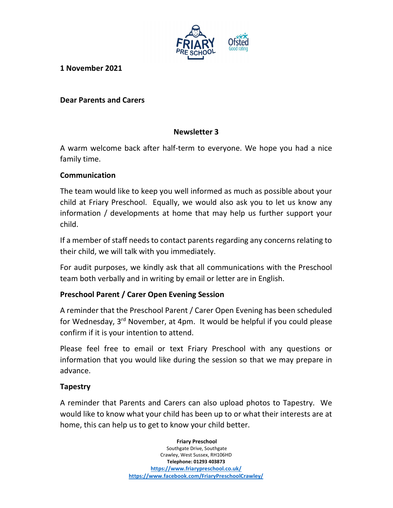

1 November 2021

### Dear Parents and Carers

### Newsletter 3

A warm welcome back after half-term to everyone. We hope you had a nice family time.

### Communication

The team would like to keep you well informed as much as possible about your child at Friary Preschool. Equally, we would also ask you to let us know any information / developments at home that may help us further support your child.

If a member of staff needs to contact parents regarding any concerns relating to their child, we will talk with you immediately.

For audit purposes, we kindly ask that all communications with the Preschool team both verbally and in writing by email or letter are in English.

#### Preschool Parent / Carer Open Evening Session

A reminder that the Preschool Parent / Carer Open Evening has been scheduled for Wednesday, 3rd November, at 4pm. It would be helpful if you could please confirm if it is your intention to attend.

Please feel free to email or text Friary Preschool with any questions or information that you would like during the session so that we may prepare in advance.

#### Tapestry

A reminder that Parents and Carers can also upload photos to Tapestry. We would like to know what your child has been up to or what their interests are at home, this can help us to get to know your child better.

> Friary Preschool Southgate Drive, Southgate Crawley, West Sussex, RH106HD Telephone: 01293 403873 https://www.friarypreschool.co.uk/ https://www.facebook.com/FriaryPreschoolCrawley/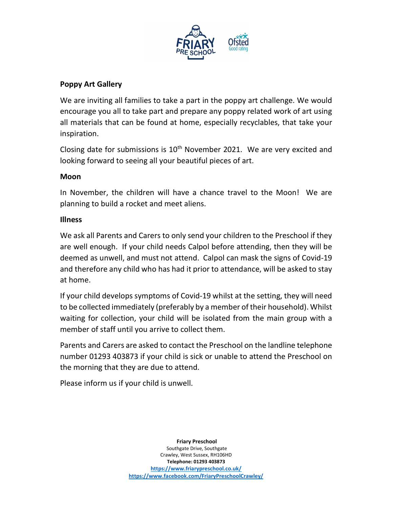

## Poppy Art Gallery

We are inviting all families to take a part in the poppy art challenge. We would encourage you all to take part and prepare any poppy related work of art using all materials that can be found at home, especially recyclables, that take your inspiration.

Closing date for submissions is  $10<sup>th</sup>$  November 2021. We are very excited and looking forward to seeing all your beautiful pieces of art.

#### Moon

In November, the children will have a chance travel to the Moon! We are planning to build a rocket and meet aliens.

#### Illness

We ask all Parents and Carers to only send your children to the Preschool if they are well enough. If your child needs Calpol before attending, then they will be deemed as unwell, and must not attend. Calpol can mask the signs of Covid-19 and therefore any child who has had it prior to attendance, will be asked to stay at home.

If your child develops symptoms of Covid-19 whilst at the setting, they will need to be collected immediately (preferably by a member of their household). Whilst waiting for collection, your child will be isolated from the main group with a member of staff until you arrive to collect them.

Parents and Carers are asked to contact the Preschool on the landline telephone number 01293 403873 if your child is sick or unable to attend the Preschool on the morning that they are due to attend.

Please inform us if your child is unwell.

 Friary Preschool Southgate Drive, Southgate Crawley, West Sussex, RH106HD Telephone: 01293 403873 https://www.friarypreschool.co.uk/ https://www.facebook.com/FriaryPreschoolCrawley/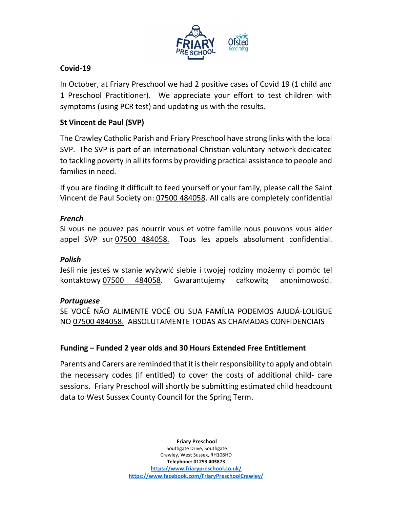

### Covid-19

In October, at Friary Preschool we had 2 positive cases of Covid 19 (1 child and 1 Preschool Practitioner). We appreciate your effort to test children with symptoms (using PCR test) and updating us with the results.

### St Vincent de Paul (SVP)

The Crawley Catholic Parish and Friary Preschool have strong links with the local SVP. The SVP is part of an international Christian voluntary network dedicated to tackling poverty in all its forms by providing practical assistance to people and families in need.

If you are finding it difficult to feed yourself or your family, please call the Saint Vincent de Paul Society on: 07500 484058. All calls are completely confidential

#### French

Si vous ne pouvez pas nourrir vous et votre famille nous pouvons vous aider appel SVP sur 07500 484058. Tous les appels absolument confidential.

#### Polish

Jeśli nie jesteś w stanie wyżywić siebie i twojej rodziny możemy ci pomóc tel kontaktowy 07500 484058. Gwarantujemy całkowitą anonimowości.

#### Portuguese

SE VOCÊ NÃO ALIMENTE VOCÊ OU SUA FAMÍLIA PODEMOS AJUDÁ-LOLIGUE NO 07500 484058. ABSOLUTAMENTE TODAS AS CHAMADAS CONFIDENCIAIS

# Funding – Funded 2 year olds and 30 Hours Extended Free Entitlement

Parents and Carers are reminded that it is their responsibility to apply and obtain the necessary codes (if entitled) to cover the costs of additional child- care sessions. Friary Preschool will shortly be submitting estimated child headcount data to West Sussex County Council for the Spring Term.